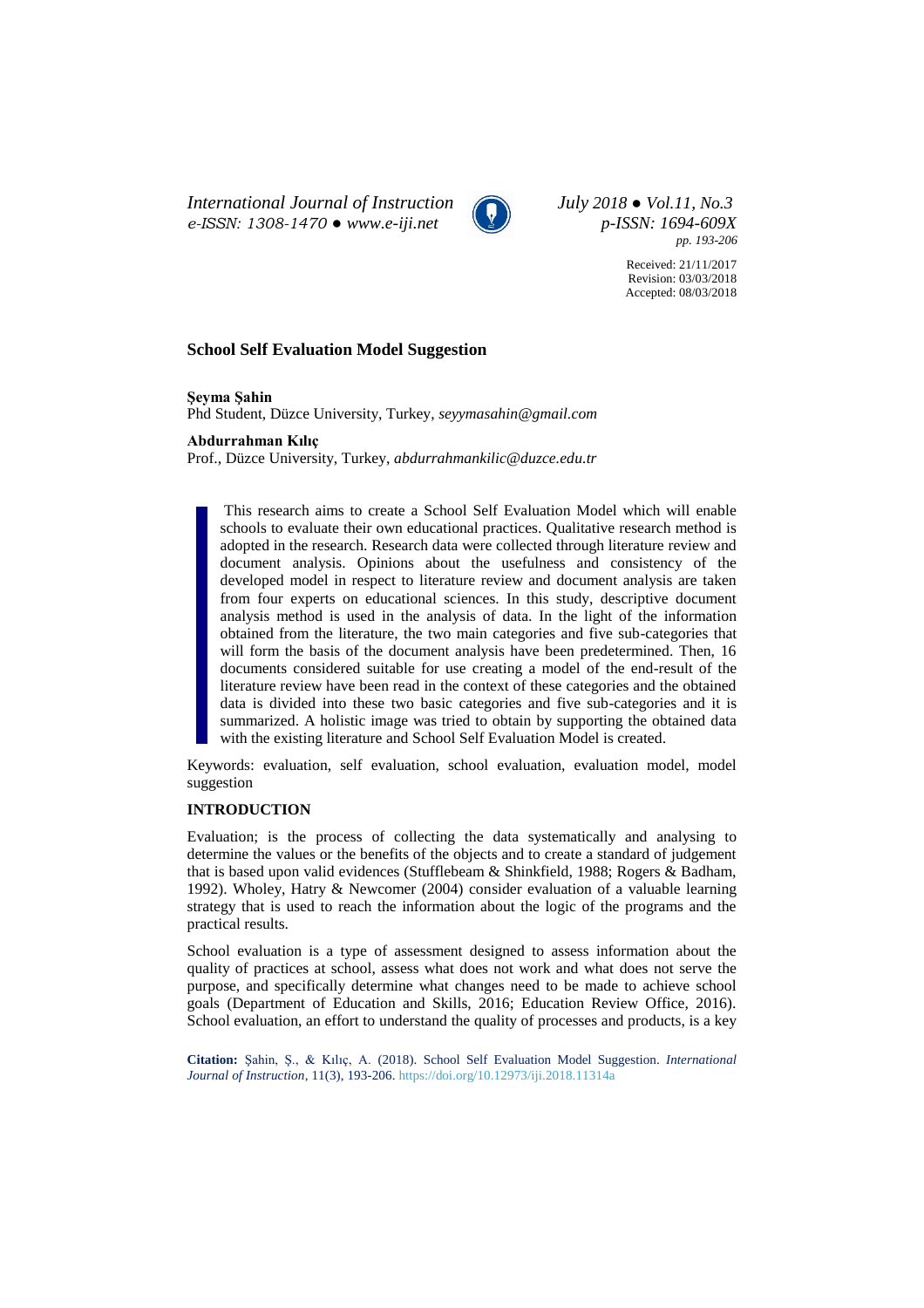*International Journal of Instruction July 2018 ● Vol.11, No.3 e-ISSN: 1308-1470 ● [www.e-iji.net](http://www.e-iji.net/) p-ISSN: 1694-609X*



*pp. 193-206*

Received: 21/11/2017 Revision: 03/03/2018 Accepted: 08/03/2018

## **School Self Evaluation Model Suggestion**

**Şeyma Şahin**

Phd Student, Düzce University, Turkey, *seyymasahin@gmail.com*

### **Abdurrahman Kılıç**

Prof., Düzce University, Turkey, *abdurrahmankilic@duzce.edu.tr*

This research aims to create a School Self Evaluation Model which will enable schools to evaluate their own educational practices. Qualitative research method is adopted in the research. Research data were collected through literature review and document analysis. Opinions about the usefulness and consistency of the developed model in respect to literature review and document analysis are taken from four experts on educational sciences. In this study, descriptive document analysis method is used in the analysis of data. In the light of the information obtained from the literature, the two main categories and five sub-categories that will form the basis of the document analysis have been predetermined. Then, 16 documents considered suitable for use creating a model of the end-result of the literature review have been read in the context of these categories and the obtained data is divided into these two basic categories and five sub-categories and it is summarized. A holistic image was tried to obtain by supporting the obtained data with the existing literature and School Self Evaluation Model is created.

Keywords: evaluation, self evaluation, school evaluation, evaluation model, model suggestion

#### **INTRODUCTION**

Evaluation; is the process of collecting the data systematically and analysing to determine the values or the benefits of the objects and to create a standard of judgement that is based upon valid evidences (Stufflebeam & Shinkfield, 1988; Rogers & Badham, 1992). Wholey, Hatry & Newcomer (2004) consider evaluation of a valuable learning strategy that is used to reach the information about the logic of the programs and the practical results.

School evaluation is a type of assessment designed to assess information about the quality of practices at school, assess what does not work and what does not serve the purpose, and specifically determine what changes need to be made to achieve school goals (Department of Education and Skills, 2016; Education Review Office, 2016). School evaluation, an effort to understand the quality of processes and products, is a key

**Citation:** Şahin, Ş., & Kılıç, A. (2018). School Self Evaluation Model Suggestion. *International Journal of Instruction*, 11(3), 193-206. <https://doi.org/10.12973/iji.2018.11314a>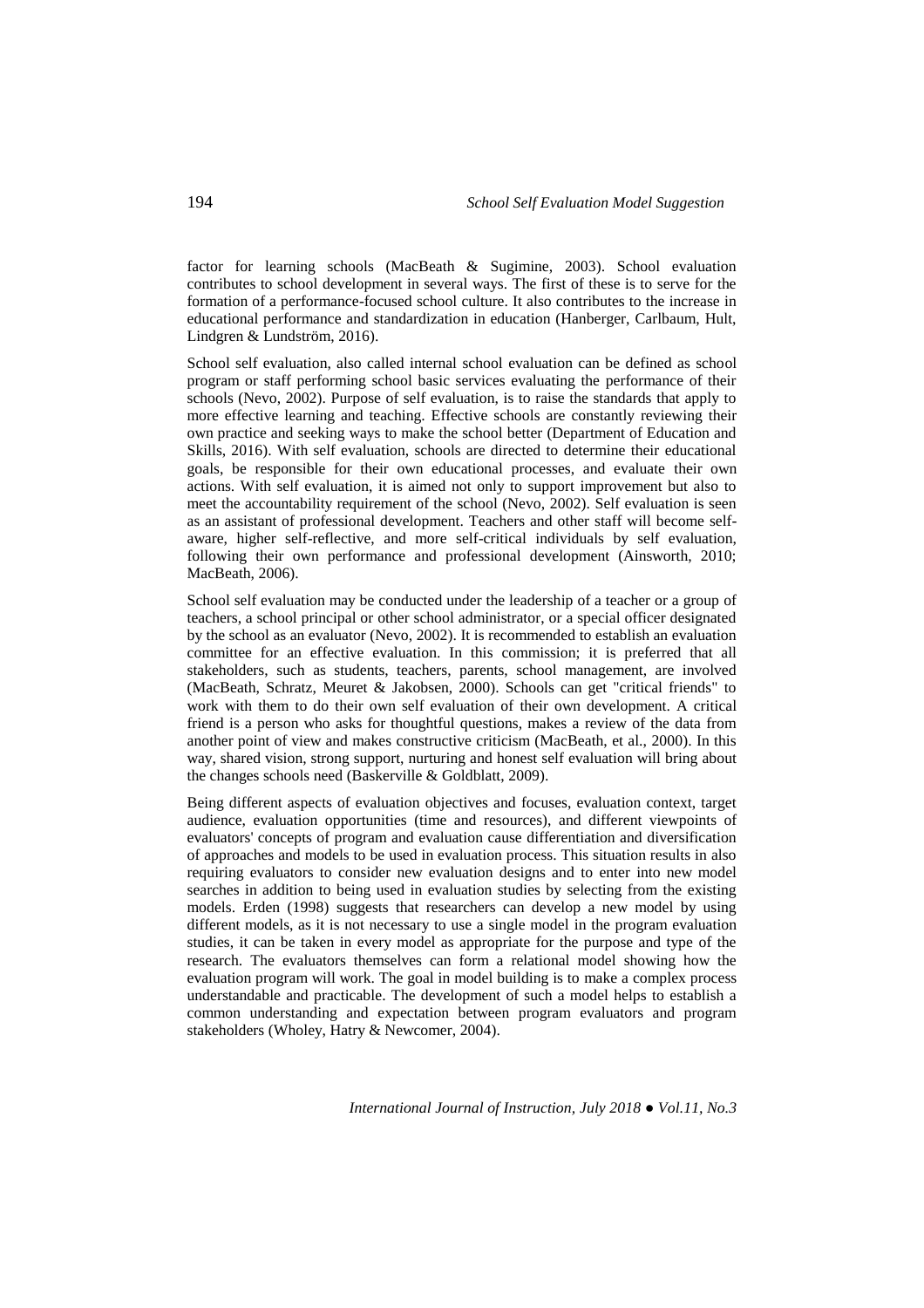factor for learning schools (MacBeath & Sugimine, 2003). School evaluation contributes to school development in several ways. The first of these is to serve for the formation of a performance-focused school culture. It also contributes to the increase in educational performance and standardization in education (Hanberger, Carlbaum, Hult, Lindgren & Lundström, 2016).

School self evaluation, also called internal school evaluation can be defined as school program or staff performing school basic services evaluating the performance of their schools (Nevo, 2002). Purpose of self evaluation, is to raise the standards that apply to more effective learning and teaching. Effective schools are constantly reviewing their own practice and seeking ways to make the school better (Department of Education and Skills, 2016). With self evaluation, schools are directed to determine their educational goals, be responsible for their own educational processes, and evaluate their own actions. With self evaluation, it is aimed not only to support improvement but also to meet the accountability requirement of the school (Nevo, 2002). Self evaluation is seen as an assistant of professional development. Teachers and other staff will become selfaware, higher self-reflective, and more self-critical individuals by self evaluation, following their own performance and professional development (Ainsworth, 2010; MacBeath, 2006).

School self evaluation may be conducted under the leadership of a teacher or a group of teachers, a school principal or other school administrator, or a special officer designated by the school as an evaluator (Nevo, 2002). It is recommended to establish an evaluation committee for an effective evaluation. In this commission; it is preferred that all stakeholders, such as students, teachers, parents, school management, are involved (MacBeath, Schratz, Meuret & Jakobsen, 2000). Schools can get "critical friends" to work with them to do their own self evaluation of their own development. A critical friend is a person who asks for thoughtful questions, makes a review of the data from another point of view and makes constructive criticism (MacBeath, et al., 2000). In this way, shared vision, strong support, nurturing and honest self evaluation will bring about the changes schools need (Baskerville & Goldblatt, 2009).

Being different aspects of evaluation objectives and focuses, evaluation context, target audience, evaluation opportunities (time and resources), and different viewpoints of evaluators' concepts of program and evaluation cause differentiation and diversification of approaches and models to be used in evaluation process. This situation results in also requiring evaluators to consider new evaluation designs and to enter into new model searches in addition to being used in evaluation studies by selecting from the existing models. Erden (1998) suggests that researchers can develop a new model by using different models, as it is not necessary to use a single model in the program evaluation studies, it can be taken in every model as appropriate for the purpose and type of the research. The evaluators themselves can form a relational model showing how the evaluation program will work. The goal in model building is to make a complex process understandable and practicable. The development of such a model helps to establish a common understanding and expectation between program evaluators and program stakeholders (Wholey, Hatry & Newcomer, 2004).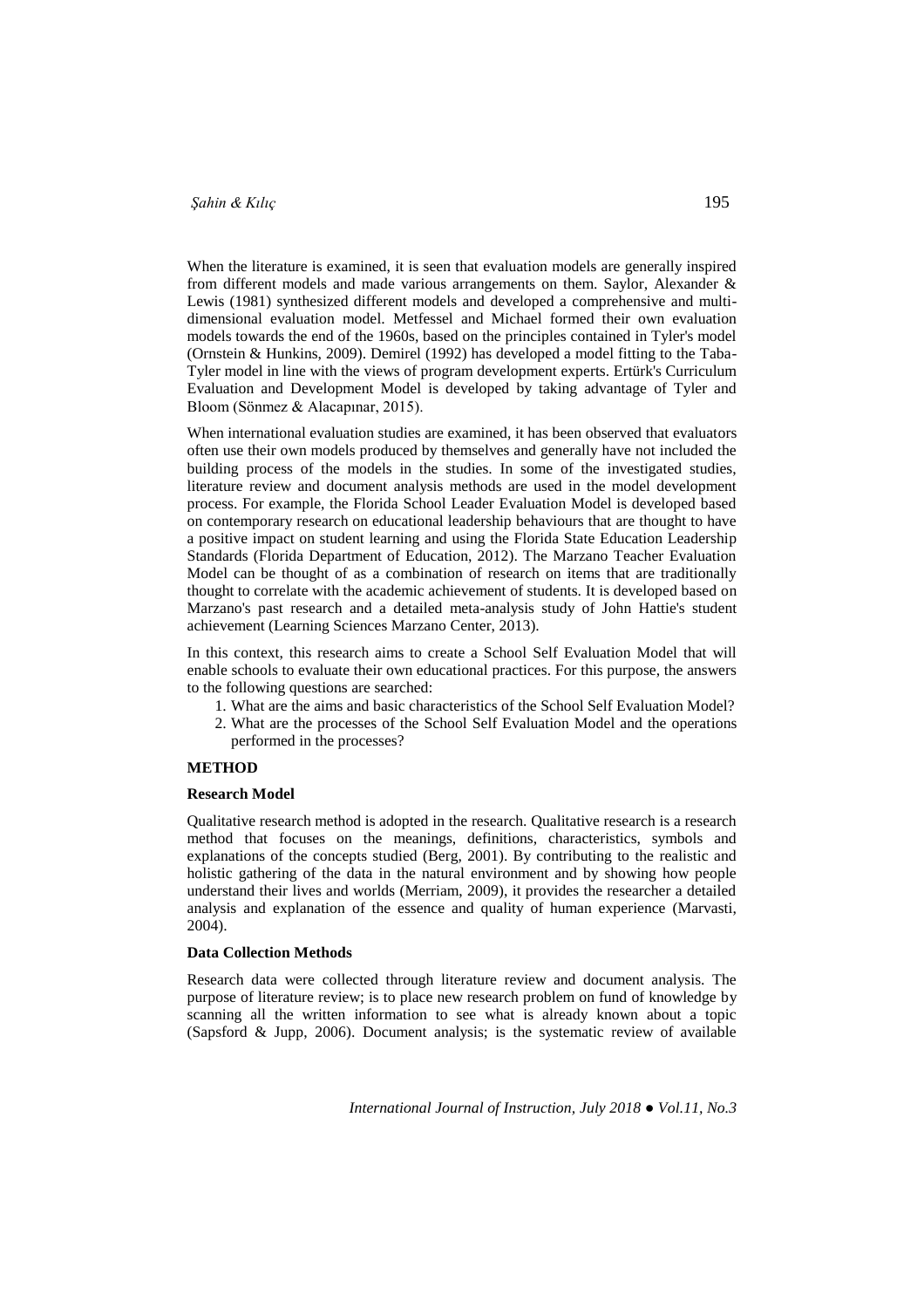When the literature is examined, it is seen that evaluation models are generally inspired from different models and made various arrangements on them. Saylor, Alexander & Lewis (1981) synthesized different models and developed a comprehensive and multidimensional evaluation model. Metfessel and Michael formed their own evaluation models towards the end of the 1960s, based on the principles contained in Tyler's model (Ornstein & Hunkins, 2009). Demirel (1992) has developed a model fitting to the Taba-Tyler model in line with the views of program development experts. Ertürk's Curriculum Evaluation and Development Model is developed by taking advantage of Tyler and Bloom (Sönmez & Alacapınar, 2015).

When international evaluation studies are examined, it has been observed that evaluators often use their own models produced by themselves and generally have not included the building process of the models in the studies. In some of the investigated studies, literature review and document analysis methods are used in the model development process. For example, the Florida School Leader Evaluation Model is developed based on contemporary research on educational leadership behaviours that are thought to have a positive impact on student learning and using the Florida State Education Leadership Standards (Florida Department of Education, 2012). The Marzano Teacher Evaluation Model can be thought of as a combination of research on items that are traditionally thought to correlate with the academic achievement of students. It is developed based on Marzano's past research and a detailed meta-analysis study of John Hattie's student achievement (Learning Sciences Marzano Center, 2013).

In this context, this research aims to create a School Self Evaluation Model that will enable schools to evaluate their own educational practices. For this purpose, the answers to the following questions are searched:

- 1. What are the aims and basic characteristics of the School Self Evaluation Model?
- 2. What are the processes of the School Self Evaluation Model and the operations performed in the processes?

#### **METHOD**

## **Research Model**

Qualitative research method is adopted in the research. Qualitative research is a research method that focuses on the meanings, definitions, characteristics, symbols and explanations of the concepts studied (Berg, 2001). By contributing to the realistic and holistic gathering of the data in the natural environment and by showing how people understand their lives and worlds (Merriam, 2009), it provides the researcher a detailed analysis and explanation of the essence and quality of human experience (Marvasti, 2004).

#### **Data Collection Methods**

Research data were collected through literature review and document analysis. The purpose of literature review; is to place new research problem on fund of knowledge by scanning all the written information to see what is already known about a topic (Sapsford & Jupp, 2006). Document analysis; is the systematic review of available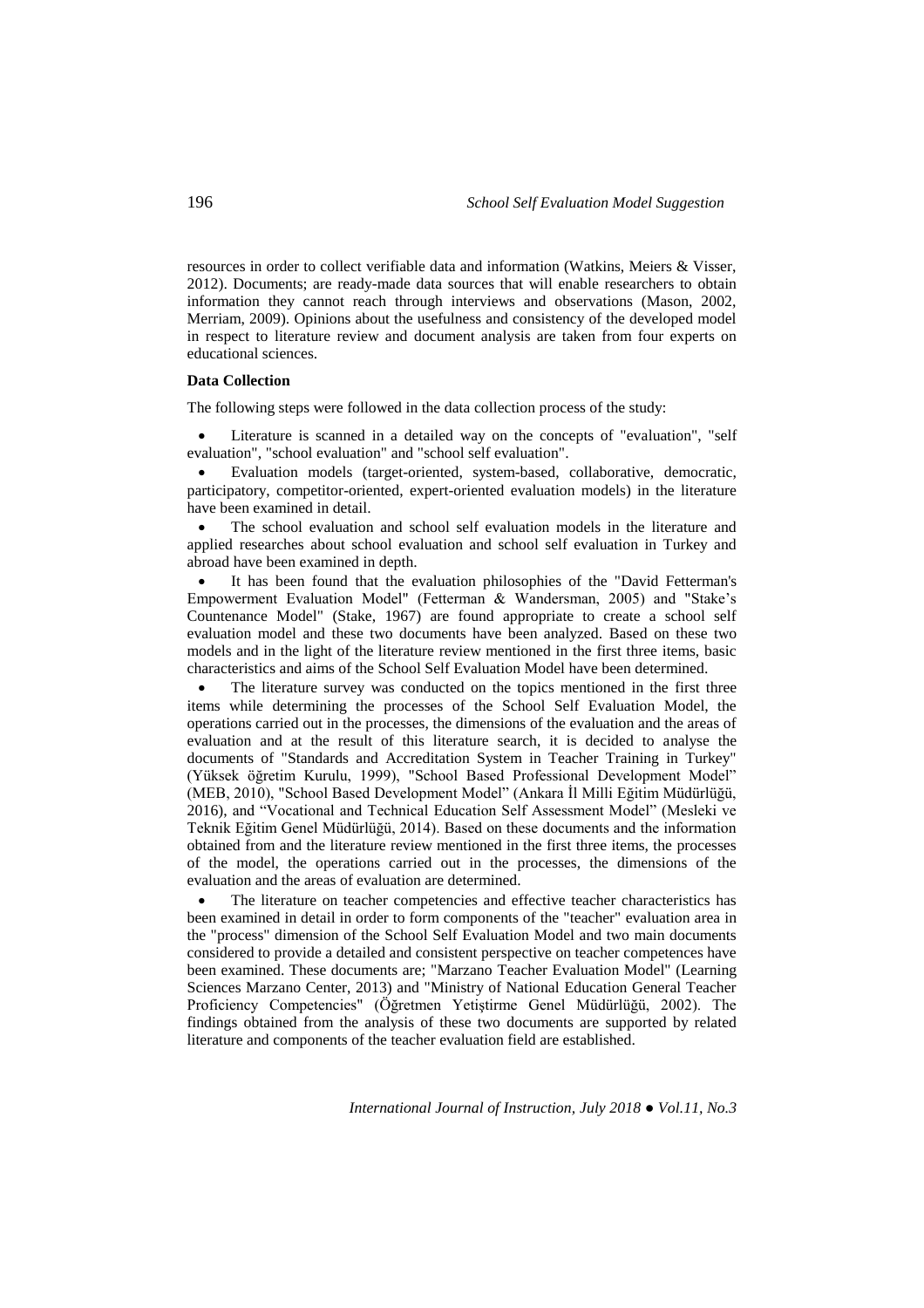resources in order to collect verifiable data and information (Watkins, Meiers & Visser, 2012). Documents; are ready-made data sources that will enable researchers to obtain information they cannot reach through interviews and observations (Mason, 2002, Merriam, 2009). Opinions about the usefulness and consistency of the developed model in respect to literature review and document analysis are taken from four experts on educational sciences.

#### **Data Collection**

The following steps were followed in the data collection process of the study:

 Literature is scanned in a detailed way on the concepts of "evaluation", "self evaluation", "school evaluation" and "school self evaluation".

 Evaluation models (target-oriented, system-based, collaborative, democratic, participatory, competitor-oriented, expert-oriented evaluation models) in the literature have been examined in detail.

 The school evaluation and school self evaluation models in the literature and applied researches about school evaluation and school self evaluation in Turkey and abroad have been examined in depth.

 It has been found that the evaluation philosophies of the "David Fetterman's Empowerment Evaluation Model" (Fetterman & Wandersman, 2005) and "Stake's Countenance Model" (Stake, 1967) are found appropriate to create a school self evaluation model and these two documents have been analyzed. Based on these two models and in the light of the literature review mentioned in the first three items, basic characteristics and aims of the School Self Evaluation Model have been determined.

 The literature survey was conducted on the topics mentioned in the first three items while determining the processes of the School Self Evaluation Model, the operations carried out in the processes, the dimensions of the evaluation and the areas of evaluation and at the result of this literature search, it is decided to analyse the documents of "Standards and Accreditation System in Teacher Training in Turkey" (Yüksek öğretim Kurulu, 1999), "School Based Professional Development Model" (MEB, 2010), "School Based Development Model" (Ankara İl Milli Eğitim Müdürlüğü, 2016), and "Vocational and Technical Education Self Assessment Model" (Mesleki ve Teknik Eğitim Genel Müdürlüğü, 2014). Based on these documents and the information obtained from and the literature review mentioned in the first three items, the processes of the model, the operations carried out in the processes, the dimensions of the evaluation and the areas of evaluation are determined.

 The literature on teacher competencies and effective teacher characteristics has been examined in detail in order to form components of the "teacher" evaluation area in the "process" dimension of the School Self Evaluation Model and two main documents considered to provide a detailed and consistent perspective on teacher competences have been examined. These documents are; "Marzano Teacher Evaluation Model" (Learning Sciences Marzano Center, 2013) and "Ministry of National Education General Teacher Proficiency Competencies" (Öğretmen Yetiştirme Genel Müdürlüğü, 2002). The findings obtained from the analysis of these two documents are supported by related literature and components of the teacher evaluation field are established.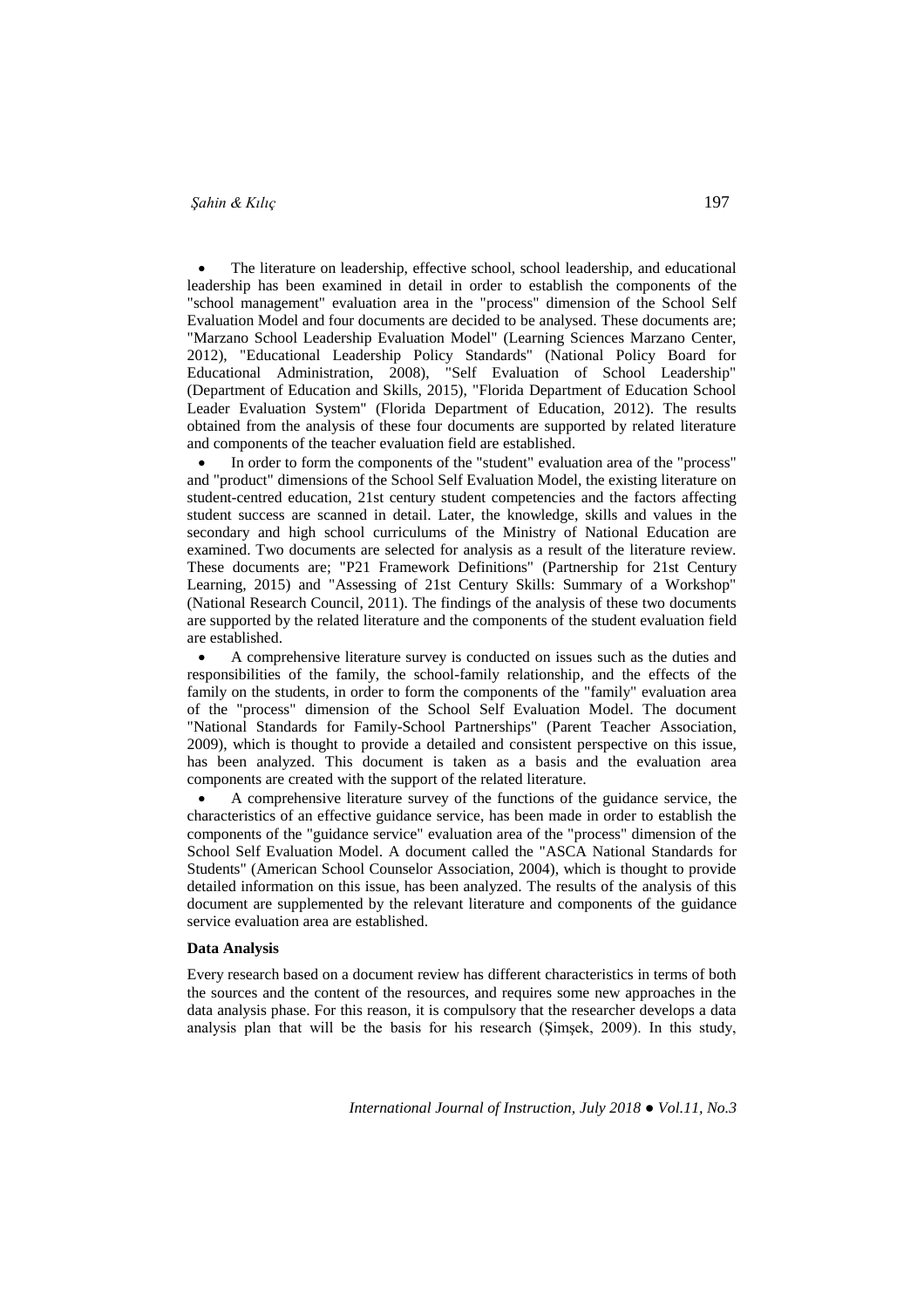The literature on leadership, effective school, school leadership, and educational leadership has been examined in detail in order to establish the components of the "school management" evaluation area in the "process" dimension of the School Self Evaluation Model and four documents are decided to be analysed. These documents are; "Marzano School Leadership Evaluation Model" (Learning Sciences Marzano Center, 2012), "Educational Leadership Policy Standards" (National Policy Board for Educational Administration, 2008), "Self Evaluation of School Leadership" (Department of Education and Skills, 2015), "Florida Department of Education School Leader Evaluation System" (Florida Department of Education, 2012). The results obtained from the analysis of these four documents are supported by related literature and components of the teacher evaluation field are established.

 In order to form the components of the "student" evaluation area of the "process" and "product" dimensions of the School Self Evaluation Model, the existing literature on student-centred education, 21st century student competencies and the factors affecting student success are scanned in detail. Later, the knowledge, skills and values in the secondary and high school curriculums of the Ministry of National Education are examined. Two documents are selected for analysis as a result of the literature review. These documents are; "P21 Framework Definitions" (Partnership for 21st Century Learning, 2015) and "Assessing of 21st Century Skills: Summary of a Workshop" (National Research Council, 2011). The findings of the analysis of these two documents are supported by the related literature and the components of the student evaluation field are established.

 A comprehensive literature survey is conducted on issues such as the duties and responsibilities of the family, the school-family relationship, and the effects of the family on the students, in order to form the components of the "family" evaluation area of the "process" dimension of the School Self Evaluation Model. The document "National Standards for Family-School Partnerships" (Parent Teacher Association, 2009), which is thought to provide a detailed and consistent perspective on this issue, has been analyzed. This document is taken as a basis and the evaluation area components are created with the support of the related literature.

 A comprehensive literature survey of the functions of the guidance service, the characteristics of an effective guidance service, has been made in order to establish the components of the "guidance service" evaluation area of the "process" dimension of the School Self Evaluation Model. A document called the "ASCA National Standards for Students" (American School Counselor Association, 2004), which is thought to provide detailed information on this issue, has been analyzed. The results of the analysis of this document are supplemented by the relevant literature and components of the guidance service evaluation area are established.

#### **Data Analysis**

Every research based on a document review has different characteristics in terms of both the sources and the content of the resources, and requires some new approaches in the data analysis phase. For this reason, it is compulsory that the researcher develops a data analysis plan that will be the basis for his research (Şimşek, 2009). In this study,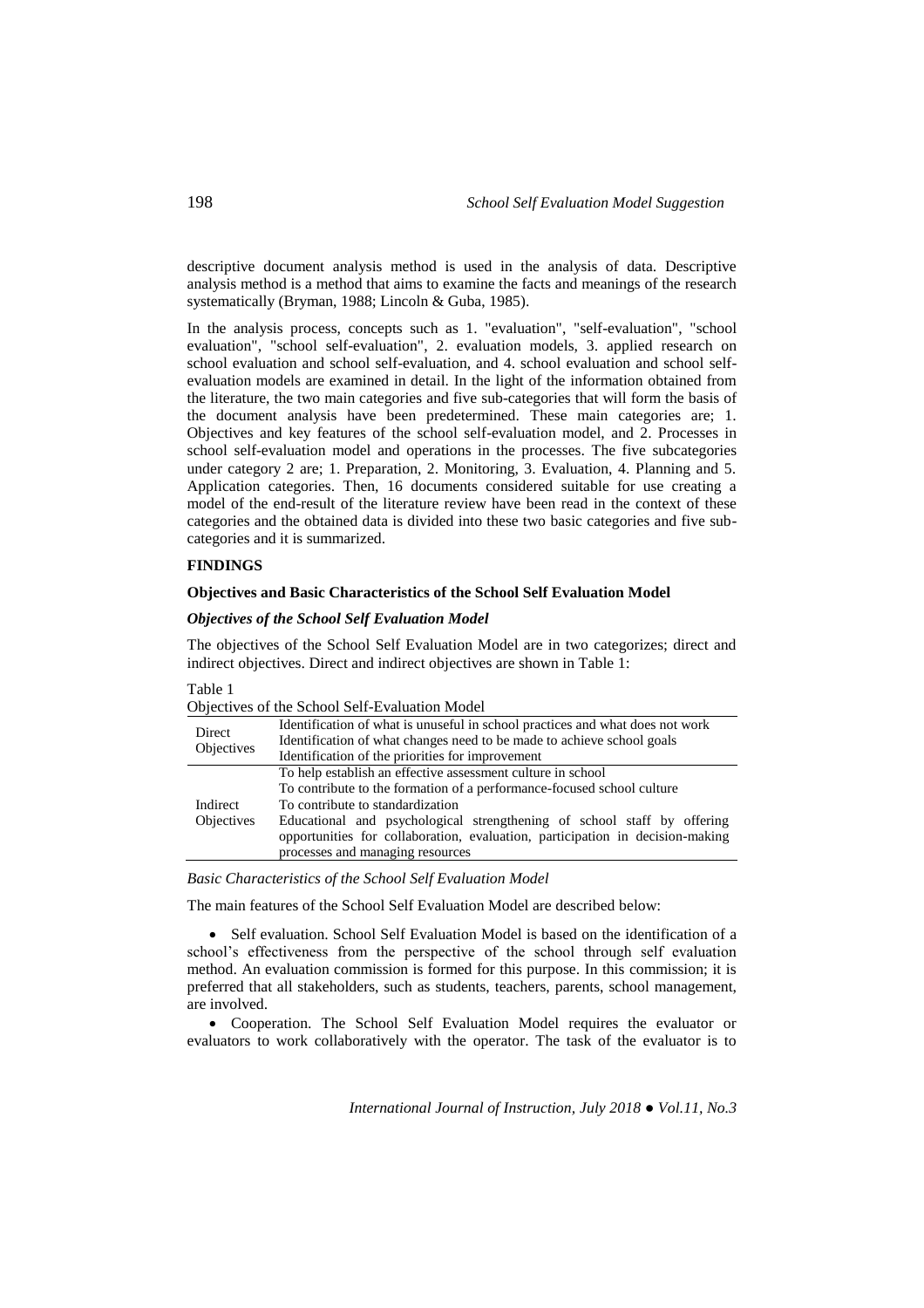descriptive document analysis method is used in the analysis of data. Descriptive analysis method is a method that aims to examine the facts and meanings of the research systematically (Bryman, 1988; Lincoln & Guba, 1985).

In the analysis process, concepts such as 1. "evaluation", "self-evaluation", "school evaluation", "school self-evaluation", 2. evaluation models, 3. applied research on school evaluation and school self-evaluation, and 4. school evaluation and school selfevaluation models are examined in detail. In the light of the information obtained from the literature, the two main categories and five sub-categories that will form the basis of the document analysis have been predetermined. These main categories are; 1. Objectives and key features of the school self-evaluation model, and 2. Processes in school self-evaluation model and operations in the processes. The five subcategories under category 2 are; 1. Preparation, 2. Monitoring, 3. Evaluation, 4. Planning and 5. Application categories. Then, 16 documents considered suitable for use creating a model of the end-result of the literature review have been read in the context of these categories and the obtained data is divided into these two basic categories and five subcategories and it is summarized.

### **FINDINGS**

#### **Objectives and Basic Characteristics of the School Self Evaluation Model**

## *Objectives of the School Self Evaluation Model*

The objectives of the School Self Evaluation Model are in two categorizes; direct and indirect objectives. Direct and indirect objectives are shown in Table 1:

### Table 1

| Objectives of the behoof ben Evaluation model                                 |
|-------------------------------------------------------------------------------|
| Identification of what is unuseful in school practices and what does not work |
| Identification of what changes need to be made to achieve school goals        |
| Identification of the priorities for improvement                              |
| To help establish an effective assessment culture in school                   |
| To contribute to the formation of a performance-focused school culture        |
| To contribute to standardization                                              |
| Educational and psychological strengthening of school staff by offering       |
| opportunities for collaboration, evaluation, participation in decision-making |
| processes and managing resources                                              |
|                                                                               |

Objectives of the School Self-Evaluation Model

*Basic Characteristics of the School Self Evaluation Model*

The main features of the School Self Evaluation Model are described below:

 Self evaluation. School Self Evaluation Model is based on the identification of a school's effectiveness from the perspective of the school through self evaluation method. An evaluation commission is formed for this purpose. In this commission; it is preferred that all stakeholders, such as students, teachers, parents, school management, are involved.

 Cooperation. The School Self Evaluation Model requires the evaluator or evaluators to work collaboratively with the operator. The task of the evaluator is to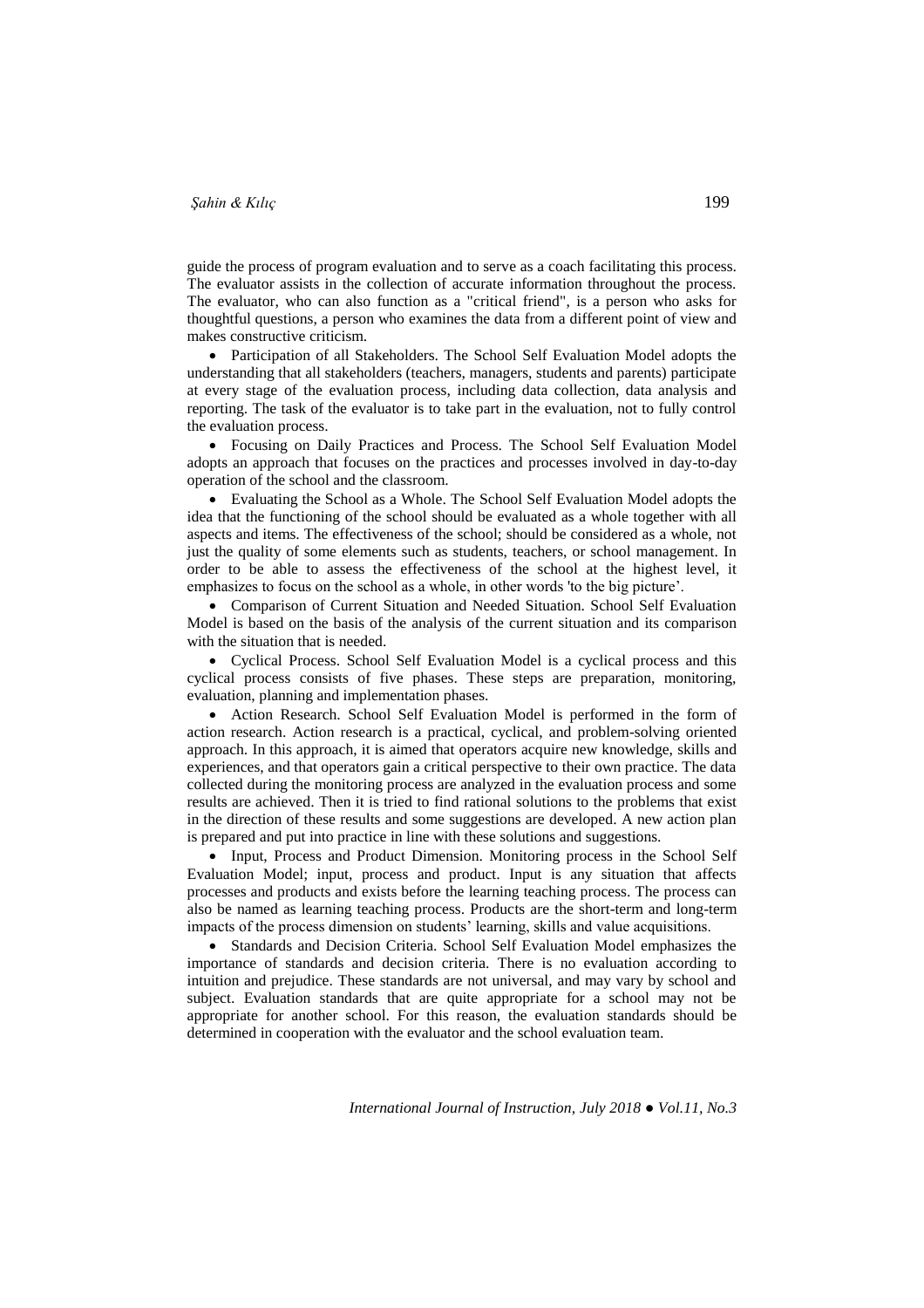guide the process of program evaluation and to serve as a coach facilitating this process. The evaluator assists in the collection of accurate information throughout the process. The evaluator, who can also function as a "critical friend", is a person who asks for thoughtful questions, a person who examines the data from a different point of view and makes constructive criticism.

 Participation of all Stakeholders. The School Self Evaluation Model adopts the understanding that all stakeholders (teachers, managers, students and parents) participate at every stage of the evaluation process, including data collection, data analysis and reporting. The task of the evaluator is to take part in the evaluation, not to fully control the evaluation process.

 Focusing on Daily Practices and Process. The School Self Evaluation Model adopts an approach that focuses on the practices and processes involved in day-to-day operation of the school and the classroom.

 Evaluating the School as a Whole. The School Self Evaluation Model adopts the idea that the functioning of the school should be evaluated as a whole together with all aspects and items. The effectiveness of the school; should be considered as a whole, not just the quality of some elements such as students, teachers, or school management. In order to be able to assess the effectiveness of the school at the highest level, it emphasizes to focus on the school as a whole, in other words 'to the big picture'.

 Comparison of Current Situation and Needed Situation. School Self Evaluation Model is based on the basis of the analysis of the current situation and its comparison with the situation that is needed.

 Cyclical Process. School Self Evaluation Model is a cyclical process and this cyclical process consists of five phases. These steps are preparation, monitoring, evaluation, planning and implementation phases.

• Action Research. School Self Evaluation Model is performed in the form of action research. Action research is a practical, cyclical, and problem-solving oriented approach. In this approach, it is aimed that operators acquire new knowledge, skills and experiences, and that operators gain a critical perspective to their own practice. The data collected during the monitoring process are analyzed in the evaluation process and some results are achieved. Then it is tried to find rational solutions to the problems that exist in the direction of these results and some suggestions are developed. A new action plan is prepared and put into practice in line with these solutions and suggestions.

• Input, Process and Product Dimension. Monitoring process in the School Self Evaluation Model; input, process and product. Input is any situation that affects processes and products and exists before the learning teaching process. The process can also be named as learning teaching process. Products are the short-term and long-term impacts of the process dimension on students' learning, skills and value acquisitions.

 Standards and Decision Criteria. School Self Evaluation Model emphasizes the importance of standards and decision criteria. There is no evaluation according to intuition and prejudice. These standards are not universal, and may vary by school and subject. Evaluation standards that are quite appropriate for a school may not be appropriate for another school. For this reason, the evaluation standards should be determined in cooperation with the evaluator and the school evaluation team.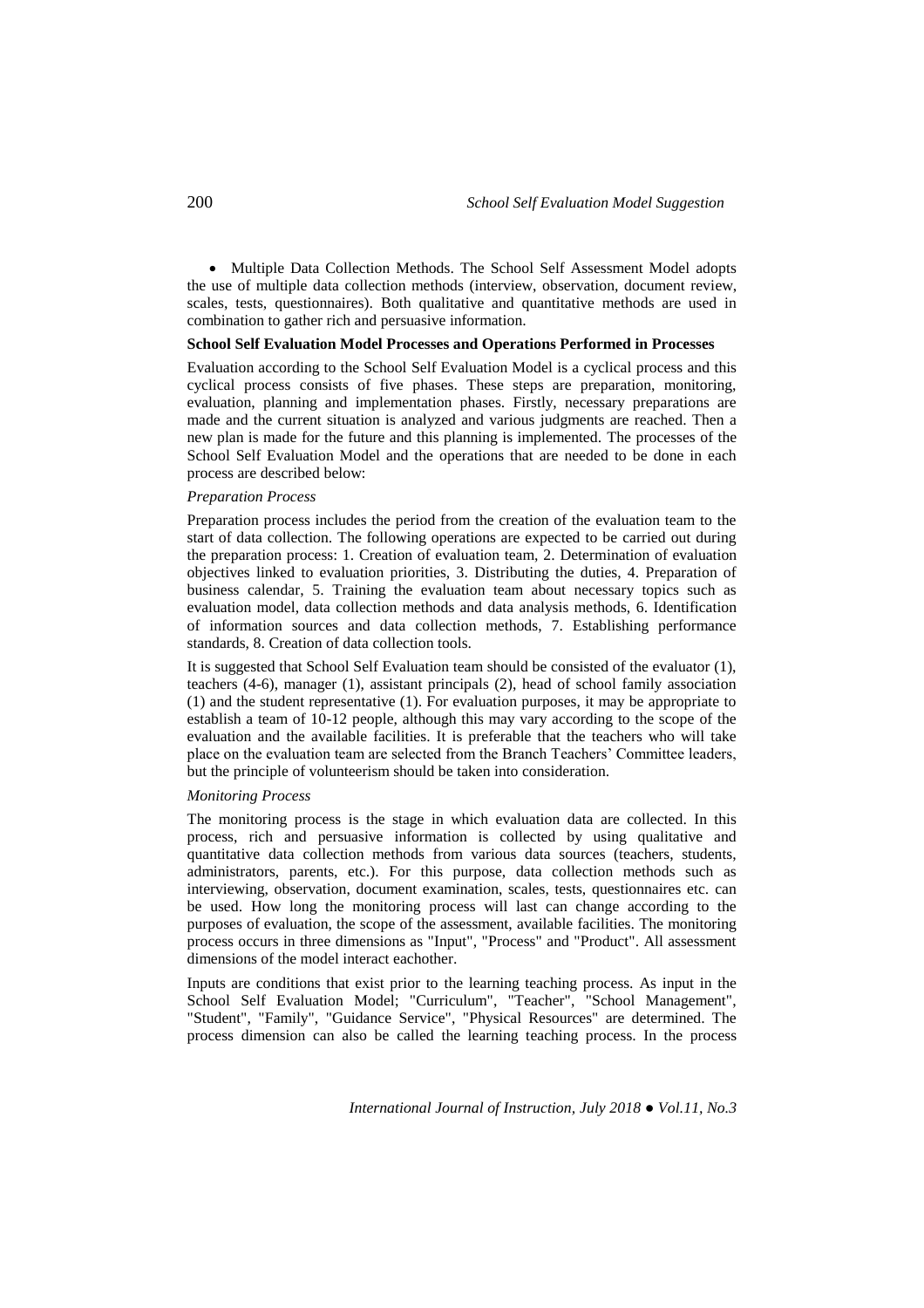Multiple Data Collection Methods. The School Self Assessment Model adopts the use of multiple data collection methods (interview, observation, document review, scales, tests, questionnaires). Both qualitative and quantitative methods are used in combination to gather rich and persuasive information.

#### **School Self Evaluation Model Processes and Operations Performed in Processes**

Evaluation according to the School Self Evaluation Model is a cyclical process and this cyclical process consists of five phases. These steps are preparation, monitoring, evaluation, planning and implementation phases. Firstly, necessary preparations are made and the current situation is analyzed and various judgments are reached. Then a new plan is made for the future and this planning is implemented. The processes of the School Self Evaluation Model and the operations that are needed to be done in each process are described below:

### *Preparation Process*

Preparation process includes the period from the creation of the evaluation team to the start of data collection. The following operations are expected to be carried out during the preparation process: 1. Creation of evaluation team, 2. Determination of evaluation objectives linked to evaluation priorities, 3. Distributing the duties, 4. Preparation of business calendar, 5. Training the evaluation team about necessary topics such as evaluation model, data collection methods and data analysis methods, 6. Identification of information sources and data collection methods, 7. Establishing performance standards, 8. Creation of data collection tools.

It is suggested that School Self Evaluation team should be consisted of the evaluator (1), teachers (4-6), manager (1), assistant principals (2), head of school family association (1) and the student representative (1). For evaluation purposes, it may be appropriate to establish a team of 10-12 people, although this may vary according to the scope of the evaluation and the available facilities. It is preferable that the teachers who will take place on the evaluation team are selected from the Branch Teachers' Committee leaders, but the principle of volunteerism should be taken into consideration.

## *Monitoring Process*

The monitoring process is the stage in which evaluation data are collected. In this process, rich and persuasive information is collected by using qualitative and quantitative data collection methods from various data sources (teachers, students, administrators, parents, etc.). For this purpose, data collection methods such as interviewing, observation, document examination, scales, tests, questionnaires etc. can be used. How long the monitoring process will last can change according to the purposes of evaluation, the scope of the assessment, available facilities. The monitoring process occurs in three dimensions as "Input", "Process" and "Product". All assessment dimensions of the model interact eachother.

Inputs are conditions that exist prior to the learning teaching process. As input in the School Self Evaluation Model; "Curriculum", "Teacher", "School Management", "Student", "Family", "Guidance Service", "Physical Resources" are determined. The process dimension can also be called the learning teaching process. In the process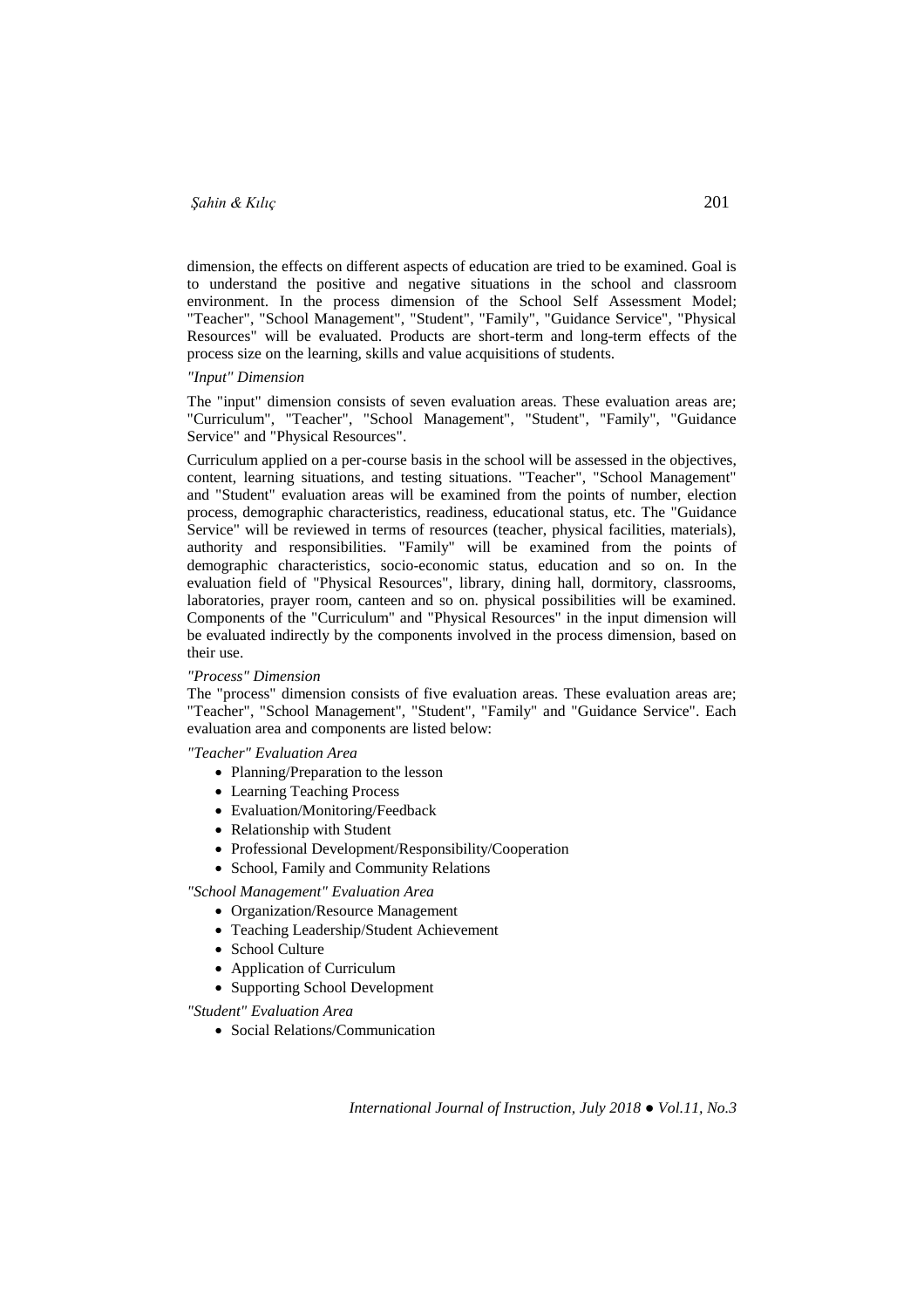dimension, the effects on different aspects of education are tried to be examined. Goal is to understand the positive and negative situations in the school and classroom environment. In the process dimension of the School Self Assessment Model; "Teacher", "School Management", "Student", "Family", "Guidance Service", "Physical Resources" will be evaluated. Products are short-term and long-term effects of the process size on the learning, skills and value acquisitions of students.

#### *"Input" Dimension*

The "input" dimension consists of seven evaluation areas. These evaluation areas are; "Curriculum", "Teacher", "School Management", "Student", "Family", "Guidance Service" and "Physical Resources".

Curriculum applied on a per-course basis in the school will be assessed in the objectives, content, learning situations, and testing situations. "Teacher", "School Management" and "Student" evaluation areas will be examined from the points of number, election process, demographic characteristics, readiness, educational status, etc. The "Guidance Service" will be reviewed in terms of resources (teacher, physical facilities, materials), authority and responsibilities. "Family" will be examined from the points of demographic characteristics, socio-economic status, education and so on. In the evaluation field of "Physical Resources", library, dining hall, dormitory, classrooms, laboratories, prayer room, canteen and so on. physical possibilities will be examined. Components of the "Curriculum" and "Physical Resources" in the input dimension will be evaluated indirectly by the components involved in the process dimension, based on their use.

### *"Process" Dimension*

The "process" dimension consists of five evaluation areas. These evaluation areas are; "Teacher", "School Management", "Student", "Family" and "Guidance Service". Each evaluation area and components are listed below:

*"Teacher" Evaluation Area*

- Planning/Preparation to the lesson
- Learning Teaching Process
- Evaluation/Monitoring/Feedback
- Relationship with Student
- Professional Development/Responsibility/Cooperation
- School, Family and Community Relations

*"School Management" Evaluation Area*

- Organization/Resource Management
- Teaching Leadership/Student Achievement
- School Culture
- Application of Curriculum
- Supporting School Development

*"Student" Evaluation Area*

Social Relations/Communication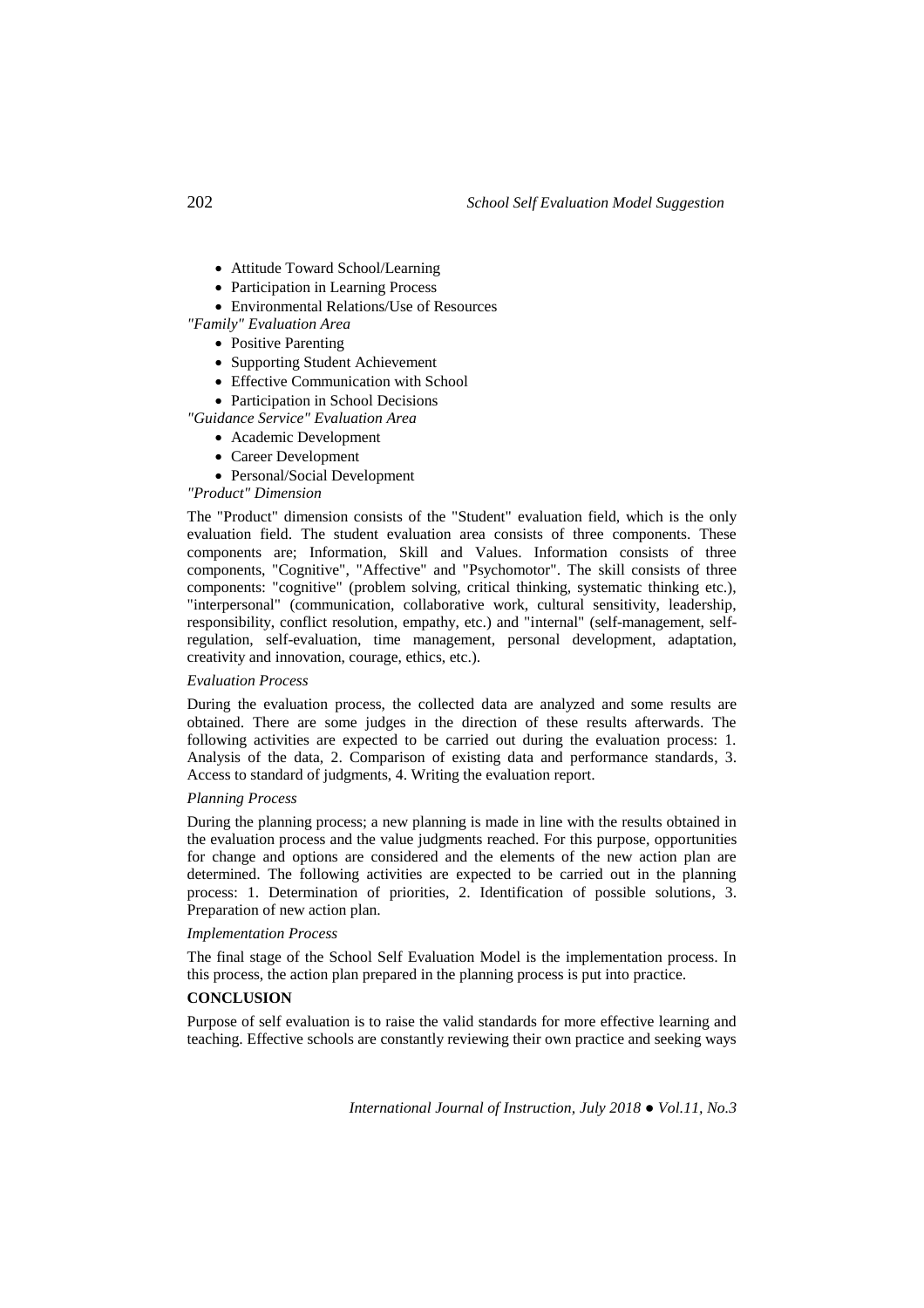- Attitude Toward School/Learning
- Participation in Learning Process
- Environmental Relations/Use of Resources
- *"Family" Evaluation Area*
	- Positive Parenting
	- Supporting Student Achievement
	- Effective Communication with School
	- Participation in School Decisions

*"Guidance Service" Evaluation Area*

- Academic Development
- Career Development
- Personal/Social Development

# *"Product" Dimension*

The "Product" dimension consists of the "Student" evaluation field, which is the only evaluation field. The student evaluation area consists of three components. These components are; Information, Skill and Values. Information consists of three components, "Cognitive", "Affective" and "Psychomotor". The skill consists of three components: "cognitive" (problem solving, critical thinking, systematic thinking etc.), "interpersonal" (communication, collaborative work, cultural sensitivity, leadership, responsibility, conflict resolution, empathy, etc.) and "internal" (self-management, selfregulation, self-evaluation, time management, personal development, adaptation, creativity and innovation, courage, ethics, etc.).

### *Evaluation Process*

During the evaluation process, the collected data are analyzed and some results are obtained. There are some judges in the direction of these results afterwards. The following activities are expected to be carried out during the evaluation process: 1. Analysis of the data, 2. Comparison of existing data and performance standards, 3. Access to standard of judgments, 4. Writing the evaluation report.

### *Planning Process*

During the planning process; a new planning is made in line with the results obtained in the evaluation process and the value judgments reached. For this purpose, opportunities for change and options are considered and the elements of the new action plan are determined. The following activities are expected to be carried out in the planning process: 1. Determination of priorities, 2. Identification of possible solutions, 3. Preparation of new action plan.

#### *Implementation Process*

The final stage of the School Self Evaluation Model is the implementation process. In this process, the action plan prepared in the planning process is put into practice.

## **CONCLUSION**

Purpose of self evaluation is to raise the valid standards for more effective learning and teaching. Effective schools are constantly reviewing their own practice and seeking ways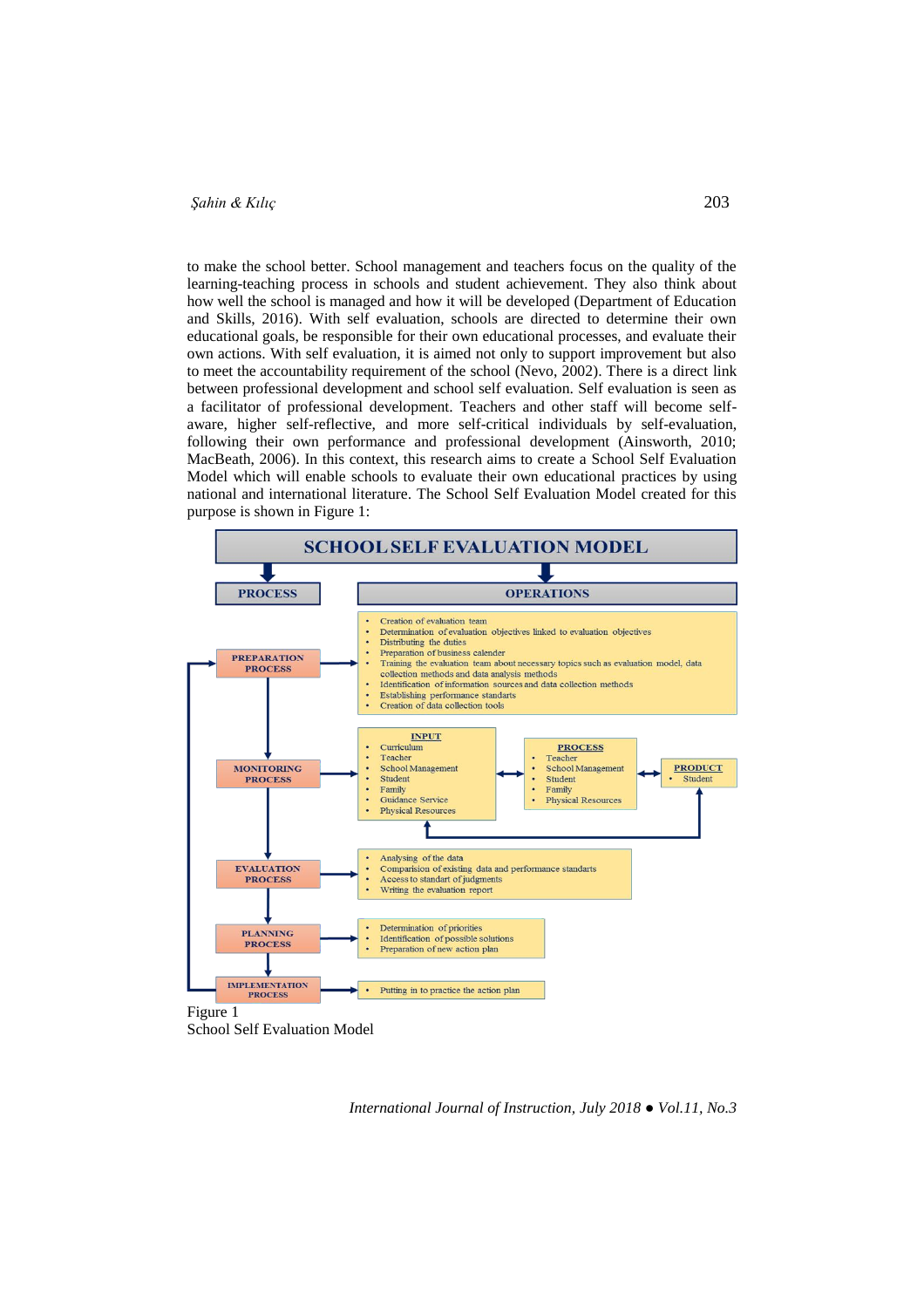to make the school better. School management and teachers focus on the quality of the learning-teaching process in schools and student achievement. They also think about how well the school is managed and how it will be developed (Department of Education and Skills, 2016). With self evaluation, schools are directed to determine their own educational goals, be responsible for their own educational processes, and evaluate their own actions. With self evaluation, it is aimed not only to support improvement but also to meet the accountability requirement of the school (Nevo, 2002). There is a direct link between professional development and school self evaluation. Self evaluation is seen as a facilitator of professional development. Teachers and other staff will become selfaware, higher self-reflective, and more self-critical individuals by self-evaluation, following their own performance and professional development (Ainsworth, 2010; MacBeath, 2006). In this context, this research aims to create a School Self Evaluation Model which will enable schools to evaluate their own educational practices by using national and international literature. The School Self Evaluation Model created for this purpose is shown in Figure 1:



School Self Evaluation Model

*International Journal of Instruction, July 2018 ● Vol.11, No.3*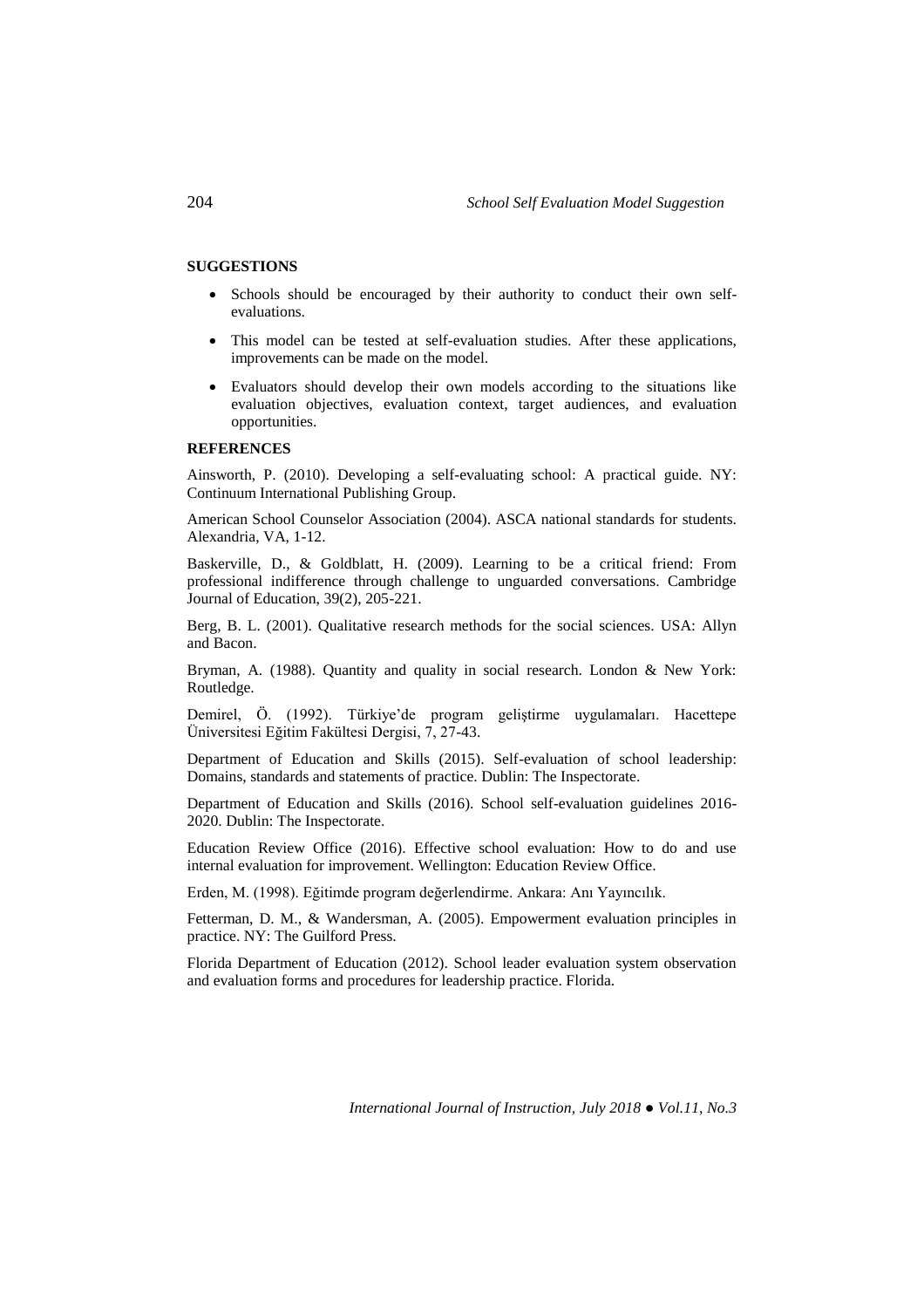### **SUGGESTIONS**

- Schools should be encouraged by their authority to conduct their own selfevaluations.
- This model can be tested at self-evaluation studies. After these applications, improvements can be made on the model.
- Evaluators should develop their own models according to the situations like evaluation objectives, evaluation context, target audiences, and evaluation opportunities.

## **REFERENCES**

Ainsworth, P. (2010). Developing a self-evaluating school: A practical guide. NY: Continuum International Publishing Group.

American School Counselor Association (2004). ASCA national standards for students. Alexandria, VA, 1-12.

Baskerville, D., & Goldblatt, H. (2009). Learning to be a critical friend: From professional indifference through challenge to unguarded conversations. Cambridge Journal of Education, 39(2), 205-221.

Berg, B. L. (2001). Qualitative research methods for the social sciences. USA: Allyn and Bacon.

Bryman, A. (1988). Quantity and quality in social research. London & New York: Routledge.

Demirel, Ö. (1992). Türkiye'de program geliştirme uygulamaları. Hacettepe Üniversitesi Eğitim Fakültesi Dergisi, 7, 27-43.

Department of Education and Skills (2015). Self-evaluation of school leadership: Domains, standards and statements of practice. Dublin: The Inspectorate.

Department of Education and Skills (2016). School self-evaluation guidelines 2016- 2020. Dublin: The Inspectorate.

Education Review Office (2016). Effective school evaluation: How to do and use internal evaluation for improvement. Wellington: Education Review Office.

Erden, M. (1998). Eğitimde program değerlendirme. Ankara: Anı Yayıncılık.

Fetterman, D. M., & Wandersman, A. (2005). Empowerment evaluation principles in practice. NY: The Guilford Press.

Florida Department of Education (2012). School leader evaluation system observation and evaluation forms and procedures for leadership practice. Florida.

*International Journal of Instruction, July 2018 ● Vol.11, No.3*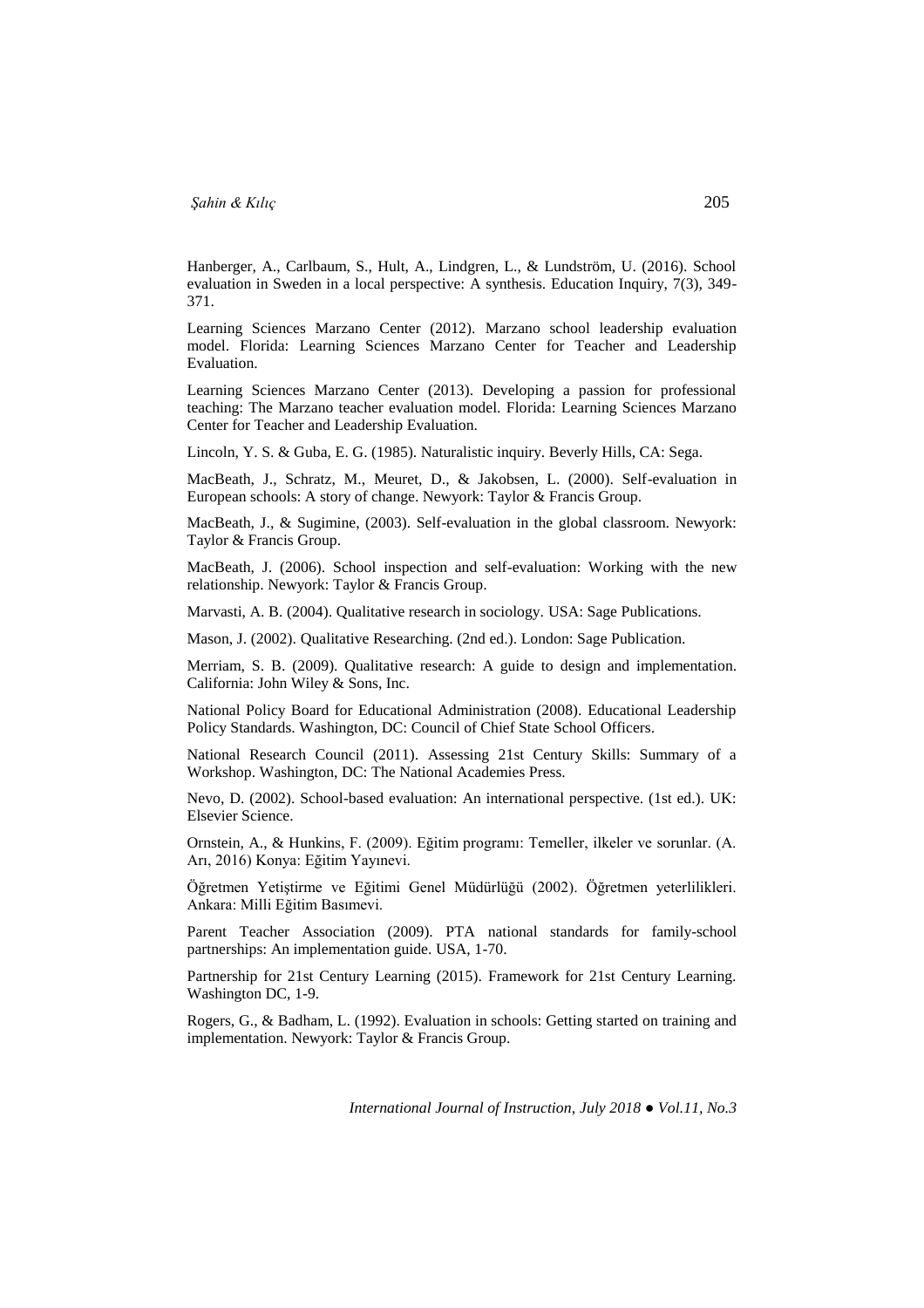Hanberger, A., Carlbaum, S., Hult, A., Lindgren, L., & Lundström, U. (2016). School evaluation in Sweden in a local perspective: A synthesis. Education Inquiry, 7(3), 349- 371.

Learning Sciences Marzano Center (2012). Marzano school leadership evaluation model. Florida: Learning Sciences Marzano Center for Teacher and Leadership Evaluation.

Learning Sciences Marzano Center (2013). Developing a passion for professional teaching: The Marzano teacher evaluation model. Florida: Learning Sciences Marzano Center for Teacher and Leadership Evaluation.

Lincoln, Y. S. & Guba, E. G. (1985). Naturalistic inquiry. Beverly Hills, CA: Sega.

MacBeath, J., Schratz, M., Meuret, D., & Jakobsen, L. (2000). Self-evaluation in European schools: A story of change. Newyork: Taylor & Francis Group.

MacBeath, J., & Sugimine, (2003). Self-evaluation in the global classroom. Newyork: Taylor & Francis Group.

MacBeath, J. (2006). School inspection and self-evaluation: Working with the new relationship. Newyork: Taylor & Francis Group.

Marvasti, A. B. (2004). Qualitative research in sociology. USA: Sage Publications.

Mason, J. (2002). Qualitative Researching. (2nd ed.). London: Sage Publication.

Merriam, S. B. (2009). Qualitative research: A guide to design and implementation. California: John Wiley & Sons, Inc.

National Policy Board for Educational Administration (2008). Educational Leadership Policy Standards. Washington, DC: Council of Chief State School Officers.

National Research Council (2011). Assessing 21st Century Skills: Summary of a Workshop. Washington, DC: The National Academies Press.

Nevo, D. (2002). School-based evaluation: An international perspective. (1st ed.). UK: Elsevier Science.

Ornstein, A., & Hunkins, F. (2009). Eğitim programı: Temeller, ilkeler ve sorunlar. (A. Arı, 2016) Konya: Eğitim Yayınevi.

Öğretmen Yetiştirme ve Eğitimi Genel Müdürlüğü (2002). Öğretmen yeterlilikleri. Ankara: Milli Eğitim Basımevi.

Parent Teacher Association (2009). PTA national standards for family-school partnerships: An implementation guide. USA, 1-70.

Partnership for 21st Century Learning (2015). Framework for 21st Century Learning. Washington DC, 1-9.

Rogers, G., & Badham, L. (1992). Evaluation in schools: Getting started on training and implementation. Newyork: Taylor & Francis Group.

*International Journal of Instruction, July 2018 ● Vol.11, No.3*